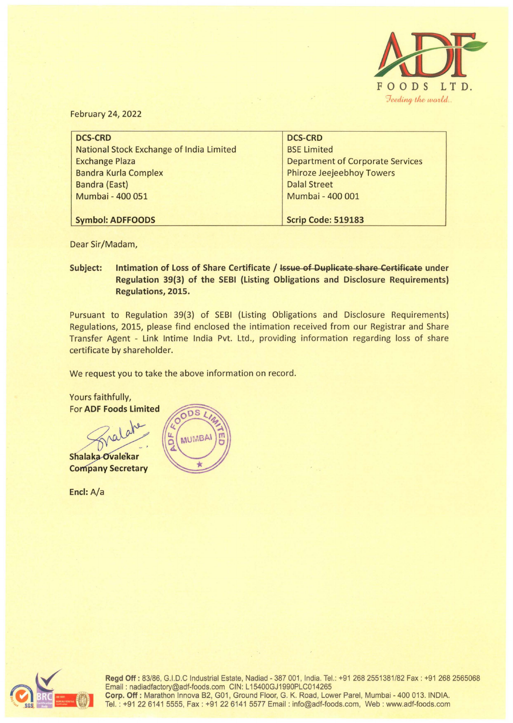

February 24, 2022

| <b>DCS-CRD</b>                           | <b>DCS-CRD</b>                          |
|------------------------------------------|-----------------------------------------|
| National Stock Exchange of India Limited | <b>BSE Limited</b>                      |
| <b>Exchange Plaza</b>                    | <b>Department of Corporate Services</b> |
| <b>Bandra Kurla Complex</b>              | <b>Phiroze Jeejeebhoy Towers</b>        |
| <b>Bandra (East)</b>                     | <b>Dalal Street</b>                     |
| Mumbai - 400 051                         | Mumbai - 400 001                        |
|                                          |                                         |
| <b>Symbol: ADFFOODS</b>                  | Scrip Code: 519183                      |

Dear Sir/Madam,

## **Subject:** Intimation of Loss of Share Certificate / Issue of Duplicate share Certificate under **Regulation 39(3) of the SEBI (Listing Obligations and Disclosure Requirements) Regulations, 2015.**

Pursuant to Regulation 39(3) of SEBI (Listing Obligations and Disclosure Requirements) Regulations, 2015, please find enclosed the intimation received from our Registrar and Share Transfer Agent - Link lntime India Pvt. Ltd., providing information regarding loss of share certificate by shareholder.

We request you to take the above information on record.

Yours faithfully, For **ADF Foods Limited** 

Shalaka Ovalekar **Company Secretary** 

**Encl:** A/a





Regd Off: 83/86, G.I.D.C Industrial Estate, Nadiad - 387 001, India. Tel.: +91 268 2551381/82 Fax : +91 268 2565068 Email : nadiadfactory@adf-foods.com CIN: L 15400GJ1990PLC014265 **Corp. Off :** Marathon lnnova B2, G01 , Ground Floor, G. K. Road, Lower Parel, Mumbai - 400 013. INDIA. Tel.: +91 22 6141 5555, Fax: +91 22 6141 5577 Email: info@adf-foods.com, Web: www.adf-foods.com